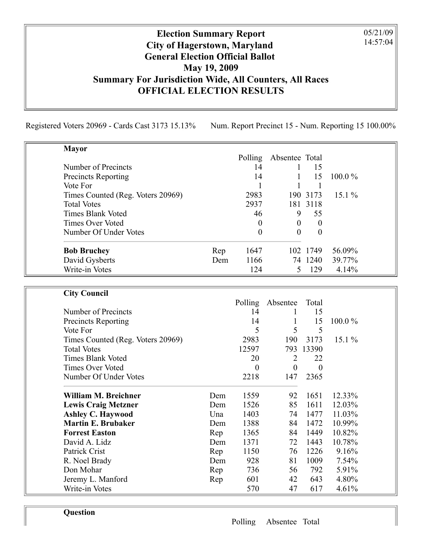## Election Summary Report City of Hagerstown, Maryland General Election Official Ballot May 19, 2009 Summary For Jurisdiction Wide, All Counters, All Races OFFICIAL ELECTION RESULTS

Registered Voters 20969 - Cards Cast 3173 15.13% Num. Report Precinct 15 - Num. Reporting 15 100.00%

05/21/09 14:57:04

| <b>Mayor</b>                      |     |          |                |          |           |
|-----------------------------------|-----|----------|----------------|----------|-----------|
|                                   |     | Polling  | Absentee Total |          |           |
| Number of Precincts               |     | 14       |                | 15       |           |
| <b>Precincts Reporting</b>        |     | 14       |                | 15       | $100.0\%$ |
| Vote For                          |     |          |                |          |           |
| Times Counted (Reg. Voters 20969) |     | 2983     |                | 190 3173 | $15.1\%$  |
| <b>Total Votes</b>                |     | 2937     |                | 181 3118 |           |
| <b>Times Blank Voted</b>          |     | 46       | 9              | 55       |           |
| <b>Times Over Voted</b>           |     | $\theta$ | $\Omega$       | $\theta$ |           |
| Number Of Under Votes             |     | $\theta$ | 0              | $\theta$ |           |
| <b>Bob Bruchey</b>                | Rep | 1647     |                | 102 1749 | 56.09%    |
| David Gysberts                    | Dem | 1166     |                | 74 1240  | 39.77%    |
| Write-in Votes                    |     | 124      |                | 129      | 4.14%     |

| <b>City Council</b>               |     |          |          |           |           |
|-----------------------------------|-----|----------|----------|-----------|-----------|
|                                   |     | Polling  | Absentee | Total     |           |
| Number of Precincts               |     | 14       |          | 15        |           |
| <b>Precincts Reporting</b>        |     | 14       |          | 15        | $100.0\%$ |
| Vote For                          |     | 5        | 5        | 5         |           |
| Times Counted (Reg. Voters 20969) |     | 2983     | 190      | 3173      | $15.1\%$  |
| <b>Total Votes</b>                |     | 12597    |          | 793 13390 |           |
| <b>Times Blank Voted</b>          |     | 20       | 2        | 22        |           |
| <b>Times Over Voted</b>           |     | $\theta$ | $\theta$ | $\theta$  |           |
| Number Of Under Votes             |     | 2218     | 147      | 2365      |           |
| William M. Breichner              | Dem | 1559     | 92       | 1651      | 12.33%    |
| <b>Lewis Craig Metzner</b>        | Dem | 1526     | 85       | 1611      | 12.03%    |
| <b>Ashley C. Haywood</b>          | Una | 1403     | 74       | 1477      | 11.03%    |
| <b>Martin E. Brubaker</b>         | Dem | 1388     | 84       | 1472      | 10.99%    |
| <b>Forrest Easton</b>             | Rep | 1365     | 84       | 1449      | 10.82%    |
| David A. Lidz                     | Dem | 1371     | 72       | 1443      | 10.78%    |
| Patrick Crist                     | Rep | 1150     | 76       | 1226      | 9.16%     |
| R. Noel Brady                     | Dem | 928      | 81       | 1009      | 7.54%     |
| Don Mohar                         | Rep | 736      | 56       | 792       | 5.91%     |
| Jeremy L. Manford                 | Rep | 601      | 42       | 643       | 4.80%     |
| Write-in Votes                    |     | 570      | 47       | 617       | 4.61%     |